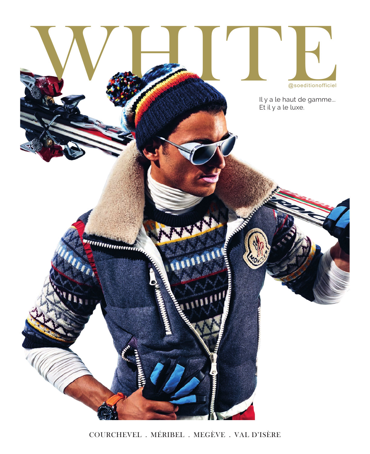

COURCHEVEL . MÉRIBEL . MEGÈVE . VAL D'ISÈRE